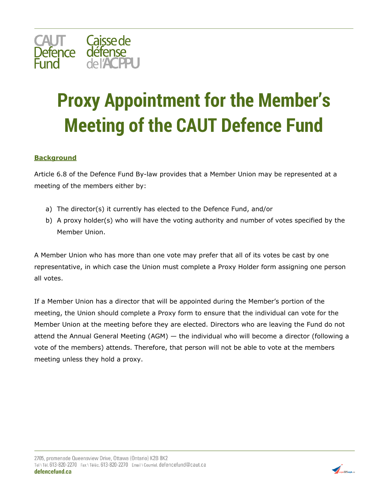

## **Proxy Appointment for the Member's Meeting of the CAUT Defence Fund**

## **Background**

Article 6.8 of the Defence Fund By-law provides that a Member Union may be represented at a meeting of the members either by:

- a) The director(s) it currently has elected to the Defence Fund, and/or
- b) A proxy holder(s) who will have the voting authority and number of votes specified by the Member Union.

A Member Union who has more than one vote may prefer that all of its votes be cast by one representative, in which case the Union must complete a Proxy Holder form assigning one person all votes.

If a Member Union has a director that will be appointed during the Member's portion of the meeting, the Union should complete a Proxy form to ensure that the individual can vote for the Member Union at the meeting before they are elected. Directors who are leaving the Fund do not attend the Annual General Meeting (AGM) — the individual who will become a director (following a vote of the members) attends. Therefore, that person will not be able to vote at the members meeting unless they hold a proxy.